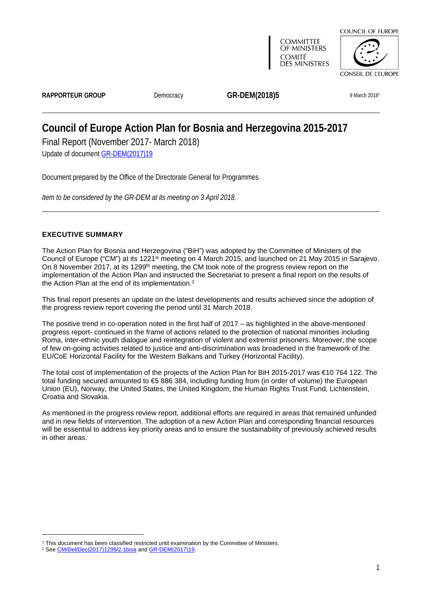

**COMMITTEE** OF MINISTERS **COMITÉ DES MINISTRES** 



RAPPORTEUR GROUP **Democracy GR-DEM(2018)5** 9 March 20181

# **Council of Europe Action Plan for Bosnia and Herzegovina 2015-2017** Final Report (November 2017- March 2018)

Update of document [GR-DEM\(2017\)19](https://search.coe.int/cm/Pages/result_details.aspx?Reference=GR-DEM(2017)19)

Document prepared by the Office of the Directorate General for Programmes

*Item to be considered by the GR-DEM at its meeting on 3 April 2018.*

## <span id="page-0-0"></span>**EXECUTIVE SUMMARY**

The Action Plan for Bosnia and Herzegovina ("BiH") was adopted by the Committee of Ministers of the Council of Europe ("CM") at its 1221st meeting on 4 March 2015, and launched on 21 May 2015 in Sarajevo. On 8 November 2017, at its 1299<sup>th</sup> meeting, the CM took note of the progress review report on the implementation of the Action Plan and instructed the Secretariat to present a final report on the results of the Action Plan at the end of its implementation.<sup>2</sup>

This final report presents an update on the latest developments and results achieved since the adoption of the progress review report covering the period until 31 March 2018.

The positive trend in co-operation noted in the first half of 2017 – as highlighted in the above-mentioned progress report- continued in the frame of actions related to the protection of national minorities including Roma, inter-ethnic youth dialogue and reintegration of violent and extremist prisoners. Moreover, the scope of few on-going activities related to justice and anti-discrimination was broadened in the framework of the EU/CoE Horizontal Facility for the Western Balkans and Turkey (Horizontal Facility).

The total cost of implementation of the projects of the Action Plan for BiH 2015-2017 was €10 764 122. The total funding secured amounted to €5 886 384, including funding from (in order of volume) the European Union (EU), Norway, the United States, the United Kingdom, the Human Rights Trust Fund, Lichtenstein, Croatia and Slovakia.

As mentioned in the progress review report, additional efforts are required in areas that remained unfunded and in new fields of intervention. The adoption of a new Action Plan and corresponding financial resources will be essential to address key priority areas and to ensure the sustainability of previously achieved results in other areas.

<sup>1</sup> This document has been classified restricted until examination by the Committee of Ministers.

<sup>&</sup>lt;sup>2</sup> See [CM/Del/Dec\(2017\)1299/2.1bisa](https://search.coe.int/cm/Pages/result_details.aspx?Reference=CM/Del/Dec(2017)1299/2.1bisa) and [GR-DEM\(2017\)19](https://search.coe.int/cm/Pages/result_details.aspx?Reference=GR-DEM(2017)19).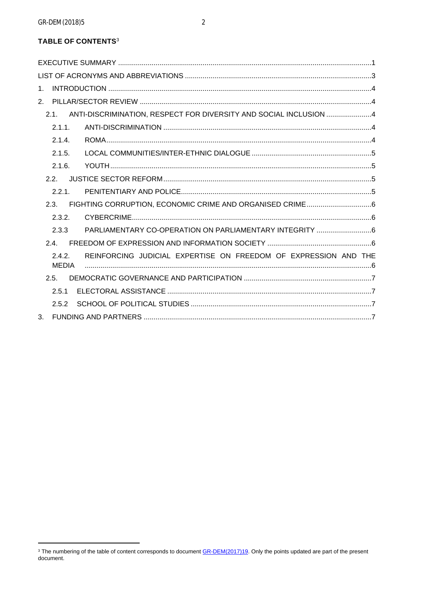## **TABLE OF CONTENTS3**

| 1.                                                                                        |  |
|-------------------------------------------------------------------------------------------|--|
|                                                                                           |  |
| ANTI-DISCRIMINATION, RESPECT FOR DIVERSITY AND SOCIAL INCLUSION 4<br>2.1                  |  |
| 2.1.1.                                                                                    |  |
| 2.1.4.                                                                                    |  |
| 2.1.5.                                                                                    |  |
| 2.1.6.                                                                                    |  |
| 2.2.                                                                                      |  |
| 2.2.1                                                                                     |  |
| 2.3.                                                                                      |  |
| 2.3.2.                                                                                    |  |
| 2.3.3                                                                                     |  |
| 2.4.                                                                                      |  |
| REINFORCING JUDICIAL EXPERTISE ON FREEDOM OF EXPRESSION AND THE<br>2.4.2.<br><b>MEDIA</b> |  |
| 2.5.                                                                                      |  |
| 2.5.1                                                                                     |  |
| 2.5.2                                                                                     |  |
| 3.                                                                                        |  |

<sup>&</sup>lt;sup>3</sup> The numbering of the table of content corresponds to document **GR-DEM(2017)19**. Only the points updated are part of the present document.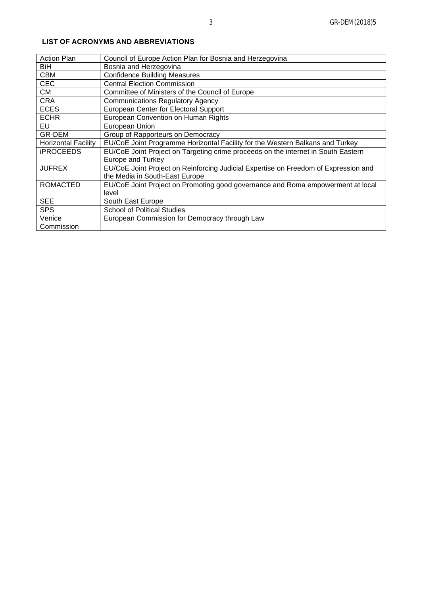| <b>Action Plan</b>         | Council of Europe Action Plan for Bosnia and Herzegovina                            |
|----------------------------|-------------------------------------------------------------------------------------|
| BiH.                       | Bosnia and Herzegovina                                                              |
| <b>CBM</b>                 | <b>Confidence Building Measures</b>                                                 |
| <b>CEC</b>                 | <b>Central Election Commission</b>                                                  |
| CM                         | Committee of Ministers of the Council of Europe                                     |
| <b>CRA</b>                 | <b>Communications Regulatory Agency</b>                                             |
| <b>ECES</b>                | European Center for Electoral Support                                               |
| <b>ECHR</b>                | European Convention on Human Rights                                                 |
| EU                         | European Union                                                                      |
| GR-DEM                     | Group of Rapporteurs on Democracy                                                   |
| <b>Horizontal Facility</b> | EU/CoE Joint Programme Horizontal Facility for the Western Balkans and Turkey       |
| <b>iPROCEEDS</b>           | EU/CoE Joint Project on Targeting crime proceeds on the internet in South Eastern   |
|                            | <b>Europe and Turkey</b>                                                            |
| <b>JUFREX</b>              | EU/CoE Joint Project on Reinforcing Judicial Expertise on Freedom of Expression and |
|                            | the Media in South-East Europe                                                      |
| <b>ROMACTED</b>            | EU/CoE Joint Project on Promoting good governance and Roma empowerment at local     |
|                            | level                                                                               |
| <b>SEE</b>                 | South East Europe                                                                   |
| <b>SPS</b>                 | <b>School of Political Studies</b>                                                  |
| Venice                     | European Commission for Democracy through Law                                       |
| Commission                 |                                                                                     |

## <span id="page-2-0"></span>**LIST OF ACRONYMS AND ABBREVIATIONS**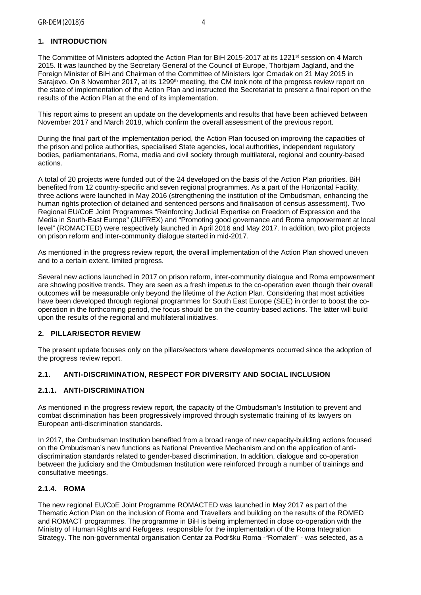## <span id="page-3-0"></span>**1. INTRODUCTION**

The Committee of Ministers adopted the Action Plan for BiH 2015-2017 at its 1221<sup>st</sup> session on 4 March 2015. It was launched by the Secretary General of the Council of Europe, Thorbjørn Jagland, and the Foreign Minister of BiH and Chairman of the Committee of Ministers Igor Crnadak on 21 May 2015 in Sarajevo. On 8 November 2017, at its 1299<sup>th</sup> meeting, the CM took note of the progress review report on the state of implementation of the Action Plan and instructed the Secretariat to present a final report on the results of the Action Plan at the end of its implementation.

This report aims to present an update on the developments and results that have been achieved between November 2017 and March 2018, which confirm the overall assessment of the previous report.

During the final part of the implementation period, the Action Plan focused on improving the capacities of the prison and police authorities, specialised State agencies, local authorities, independent regulatory bodies, parliamentarians, Roma, media and civil society through multilateral, regional and country-based actions.

A total of 20 projects were funded out of the 24 developed on the basis of the Action Plan priorities. BiH benefited from 12 country-specific and seven regional programmes. As a part of the Horizontal Facility, three actions were launched in May 2016 (strengthening the institution of the Ombudsman, enhancing the human rights protection of detained and sentenced persons and finalisation of census assessment). Two Regional EU/CoE Joint Programmes "Reinforcing Judicial Expertise on Freedom of Expression and the Media in South-East Europe" (JUFREX) and "Promoting good governance and Roma empowerment at local level" (ROMACTED) were respectively launched in April 2016 and May 2017. In addition, two pilot projects on prison reform and inter-community dialogue started in mid-2017.

As mentioned in the progress review report, the overall implementation of the Action Plan showed uneven and to a certain extent, limited progress.

Several new actions launched in 2017 on prison reform, inter-community dialogue and Roma empowerment are showing positive trends. They are seen as a fresh impetus to the co-operation even though their overall outcomes will be measurable only beyond the lifetime of the Action Plan. Considering that most activities have been developed through regional programmes for South East Europe (SEE) in order to boost the cooperation in the forthcoming period, the focus should be on the country-based actions. The latter will build upon the results of the regional and multilateral initiatives.

#### <span id="page-3-1"></span>**2. PILLAR/SECTOR REVIEW**

The present update focuses only on the pillars/sectors where developments occurred since the adoption of the progress review report.

#### <span id="page-3-2"></span>**2.1. ANTI-DISCRIMINATION, RESPECT FOR DIVERSITY AND SOCIAL INCLUSION**

#### <span id="page-3-3"></span>**2.1.1. ANTI-DISCRIMINATION**

As mentioned in the progress review report, the capacity of the Ombudsman's Institution to prevent and combat discrimination has been progressively improved through systematic training of its lawyers on European anti-discrimination standards.

In 2017, the Ombudsman Institution benefited from a broad range of new capacity-building actions focused on the Ombudsman's new functions as National Preventive Mechanism and on the application of antidiscrimination standards related to gender-based discrimination. In addition, dialogue and co-operation between the judiciary and the Ombudsman Institution were reinforced through a number of trainings and consultative meetings.

## <span id="page-3-4"></span>**2.1.4. ROMA**

The new regional EU/CoE Joint Programme ROMACTED was launched in May 2017 as part of the Thematic Action Plan on the inclusion of Roma and Travellers and building on the results of the ROMED and ROMACT programmes. The programme in BiH is being implemented in close co-operation with the Ministry of Human Rights and Refugees, responsible for the implementation of the Roma Integration Strategy. The non-governmental organisation Centar za Podršku Roma -"Romalen" - was selected, as a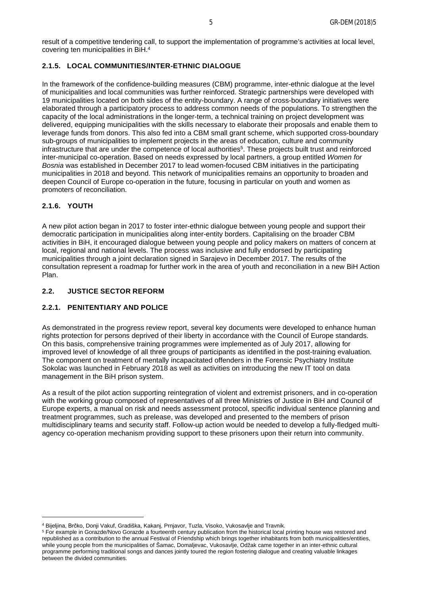result of a competitive tendering call, to support the implementation of programme's activities at local level, covering ten municipalities in BiH.<sup>4</sup>

## <span id="page-4-0"></span>**2.1.5. LOCAL COMMUNITIES/INTER-ETHNIC DIALOGUE**

In the framework of the confidence-building measures (CBM) programme, inter-ethnic dialogue at the level of municipalities and local communities was further reinforced. Strategic partnerships were developed with 19 municipalities located on both sides of the entity-boundary. A range of cross-boundary initiatives were elaborated through a participatory process to address common needs of the populations. To strengthen the capacity of the local administrations in the longer-term, a technical training on project development was delivered, equipping municipalities with the skills necessary to elaborate their proposals and enable them to leverage funds from donors. This also fed into a CBM small grant scheme, which supported cross-boundary sub-groups of municipalities to implement projects in the areas of education, culture and community infrastructure that are under the competence of local authorities<sup>5</sup>. These projects built trust and reinforced inter-municipal co-operation. Based on needs expressed by local partners, a group entitled *Women for Bosnia* was established in December 2017 to lead women-focused CBM initiatives in the participating municipalities in 2018 and beyond. This network of municipalities remains an opportunity to broaden and deepen Council of Europe co-operation in the future, focusing in particular on youth and women as promoters of reconciliation.

## <span id="page-4-1"></span>**2.1.6. YOUTH**

A new pilot action began in 2017 to foster inter-ethnic dialogue between young people and support their democratic participation in municipalities along inter-entity borders. Capitalising on the broader CBM activities in BiH, it encouraged dialogue between young people and policy makers on matters of concern at local, regional and national levels. The process was inclusive and fully endorsed by participating municipalities through a joint declaration signed in Sarajevo in December 2017. The results of the consultation represent a roadmap for further work in the area of youth and reconciliation in a new BiH Action Plan.

#### <span id="page-4-2"></span>**2.2. JUSTICE SECTOR REFORM**

#### <span id="page-4-3"></span>**2.2.1. PENITENTIARY AND POLICE**

As demonstrated in the progress review report, several key documents were developed to enhance human rights protection for persons deprived of their liberty in accordance with the Council of Europe standards. On this basis, comprehensive training programmes were implemented as of July 2017, allowing for improved level of knowledge of all three groups of participants as identified in the post-training evaluation. The component on treatment of mentally incapacitated offenders in the Forensic Psychiatry Institute Sokolac was launched in February 2018 as well as activities on introducing the new IT tool on data management in the BiH prison system.

As a result of the pilot action supporting reintegration of violent and extremist prisoners, and in co-operation with the working group composed of representatives of all three Ministries of Justice in BiH and Council of Europe experts, a manual on risk and needs assessment protocol, specific individual sentence planning and treatment programmes, such as prelease, was developed and presented to the members of prison multidisciplinary teams and security staff. Follow-up action would be needed to develop a fully-fledged multiagency co-operation mechanism providing support to these prisoners upon their return into community.

<sup>4</sup> Bijeljina, Brčko, Donji Vakuf, Gradiška, Kakanj, Prnjavor, Tuzla, Visoko, Vukosavlje and Travnik.

<sup>5</sup> For example in Gorazde/Novo Gorazde a fourteenth century publication from the historical local printing house was restored and republished as a contribution to the annual Festival of Friendship which brings together inhabitants from both municipalities/entities, while young people from the municipalities of Šamac, Domaljevac, Vukosavlje, Odžak came together in an inter-ethnic cultural programme performing traditional songs and dances jointly toured the region fostering dialogue and creating valuable linkages between the divided communities.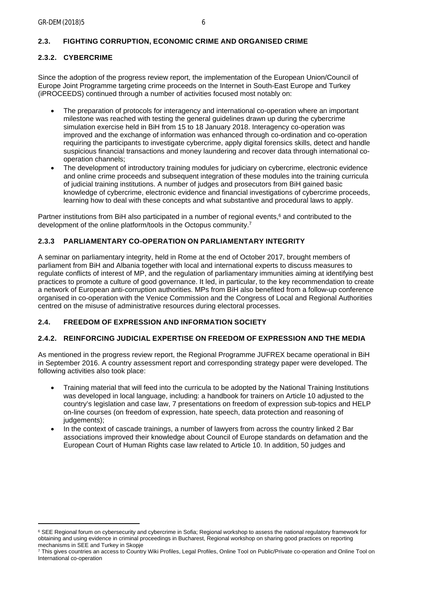## <span id="page-5-1"></span><span id="page-5-0"></span>**2.3.2. CYBERCRIME**

Since the adoption of the progress review report, the implementation of the European Union/Council of Europe Joint Programme targeting crime proceeds on the Internet in South-East Europe and Turkey (iPROCEEDS) continued through a number of activities focused most notably on:

- The preparation of protocols for interagency and international co-operation where an important milestone was reached with testing the general guidelines drawn up during the cybercrime simulation exercise held in BiH from 15 to 18 January 2018. Interagency co-operation was improved and the exchange of information was enhanced through co-ordination and co-operation requiring the participants to investigate cybercrime, apply digital forensics skills, detect and handle suspicious financial transactions and money laundering and recover data through international cooperation channels;
- The development of introductory training modules for judiciary on cybercrime, electronic evidence and online crime proceeds and subsequent integration of these modules into the training curricula of judicial training institutions. A number of judges and prosecutors from BiH gained basic knowledge of cybercrime, electronic evidence and financial investigations of cybercrime proceeds, learning how to deal with these concepts and what substantive and procedural laws to apply.

Partner institutions from BiH also participated in a number of regional events,<sup>6</sup> and contributed to the development of the online platform/tools in the Octopus community.<sup>7</sup>

## <span id="page-5-2"></span>**2.3.3 PARLIAMENTARY CO-OPERATION ON PARLIAMENTARY INTEGRITY**

A seminar on parliamentary integrity, held in Rome at the end of October 2017, brought members of parliament from BiH and Albania together with local and international experts to discuss measures to regulate conflicts of interest of MP, and the regulation of parliamentary immunities aiming at identifying best practices to promote a culture of good governance. It led, in particular, to the key recommendation to create a network of European anti-corruption authorities. MPs from BiH also benefited from a follow-up conference organised in co-operation with the Venice Commission and the Congress of Local and Regional Authorities centred on the misuse of administrative resources during electoral processes.

#### <span id="page-5-3"></span>**2.4. FREEDOM OF EXPRESSION AND INFORMATION SOCIETY**

## <span id="page-5-4"></span>**2.4.2. REINFORCING JUDICIAL EXPERTISE ON FREEDOM OF EXPRESSION AND THE MEDIA**

As mentioned in the progress review report, the Regional Programme JUFREX became operational in BiH in September 2016. A country assessment report and corresponding strategy paper were developed. The following activities also took place:

- Training material that will feed into the curricula to be adopted by the National Training Institutions was developed in local language, including: a handbook for trainers on Article 10 adjusted to the country's legislation and case law, 7 presentations on freedom of expression sub-topics and HELP on-line courses (on freedom of expression, hate speech, data protection and reasoning of judgements);
- In the context of cascade trainings, a number of lawyers from across the country linked 2 Bar associations improved their knowledge about Council of Europe standards on defamation and the European Court of Human Rights case law related to Article 10. In addition, 50 judges and

<sup>6</sup> SEE Regional forum on cybersecurity and cybercrime in Sofia; Regional workshop to assess the national regulatory framework for obtaining and using evidence in criminal proceedings in Bucharest, Regional workshop on sharing good practices on reporting mechanisms in SEE and Turkey in Skopje

<sup>7</sup> This gives countries an access to Country Wiki Profiles, Legal Profiles, Online Tool on Public/Private co-operation and Online Tool on International co-operation